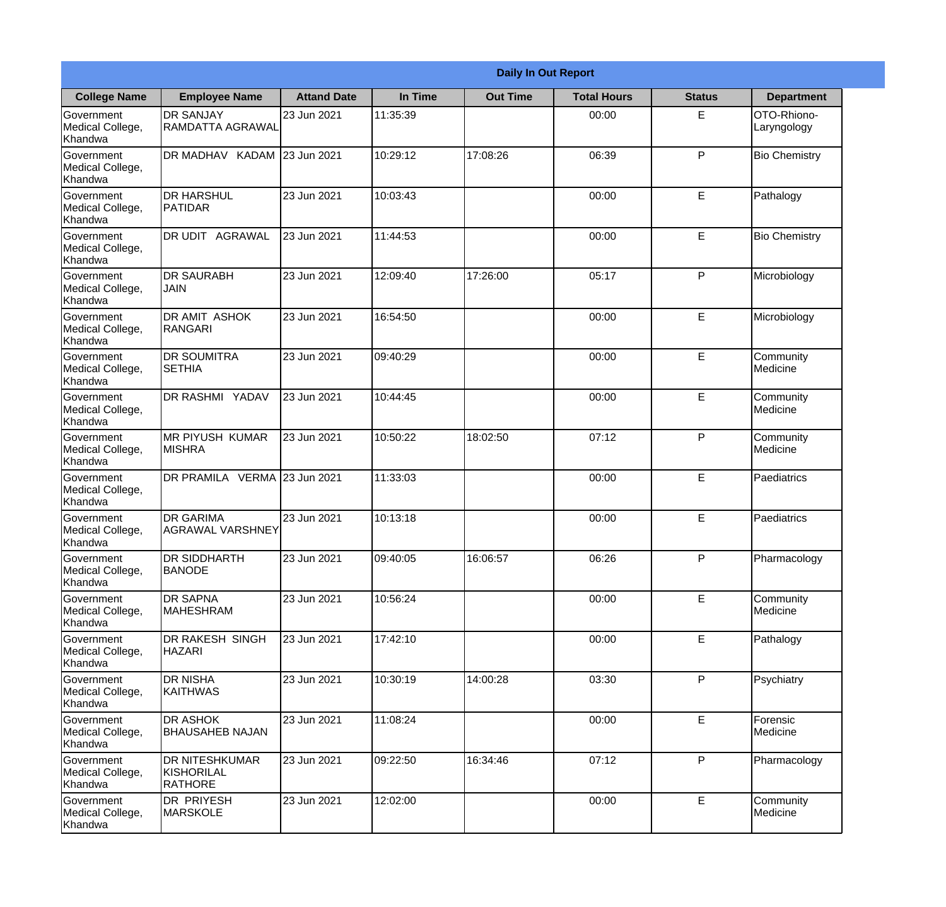|                                                  |                                                | <b>Daily In Out Report</b> |          |                 |                    |               |                            |  |  |
|--------------------------------------------------|------------------------------------------------|----------------------------|----------|-----------------|--------------------|---------------|----------------------------|--|--|
| <b>College Name</b>                              | <b>Employee Name</b>                           | <b>Attand Date</b>         | In Time  | <b>Out Time</b> | <b>Total Hours</b> | <b>Status</b> | <b>Department</b>          |  |  |
| Government<br>Medical College,<br>Khandwa        | <b>DR SANJAY</b><br>RAMDATTA AGRAWAL           | 23 Jun 2021                | 11:35:39 |                 | 00:00              | E.            | OTO-Rhiono-<br>Laryngology |  |  |
| Government<br>Medical College,<br>Khandwa        | DR MADHAV KADAM 23 Jun 2021                    |                            | 10:29:12 | 17:08:26        | 06:39              | P             | <b>Bio Chemistry</b>       |  |  |
| <b>Government</b><br>Medical College,<br>Khandwa | <b>I</b> DR HARSHUL<br><b>PATIDAR</b>          | 23 Jun 2021                | 10:03:43 |                 | 00:00              | E             | Pathalogy                  |  |  |
| Government<br>Medical College,<br>Khandwa        | <b>DR UDIT AGRAWAL</b>                         | 23 Jun 2021                | 11:44:53 |                 | 00:00              | E             | <b>Bio Chemistry</b>       |  |  |
| Government<br>Medical College,<br>Khandwa        | <b>IDR SAURABH</b><br><b>JAIN</b>              | 23 Jun 2021                | 12:09:40 | 17:26:00        | 05:17              | P             | Microbiology               |  |  |
| Government<br>Medical College,<br>Khandwa        | <b>IDR AMIT ASHOK</b><br>RANGARI               | 23 Jun 2021                | 16:54:50 |                 | 00:00              | E             | Microbiology               |  |  |
| Government<br>Medical College,<br>Khandwa        | <b>DR SOUMITRA</b><br><b>SETHIA</b>            | 23 Jun 2021                | 09:40:29 |                 | 00:00              | E             | Community<br>Medicine      |  |  |
| Government<br>Medical College,<br>Khandwa        | <b>DR RASHMI YADAV</b>                         | 23 Jun 2021                | 10:44:45 |                 | 00:00              | E             | Community<br>Medicine      |  |  |
| Government<br>Medical College,<br>Khandwa        | <b>MR PIYUSH KUMAR</b><br><b>MISHRA</b>        | 23 Jun 2021                | 10:50:22 | 18:02:50        | 07:12              | P             | Community<br>Medicine      |  |  |
| Government<br>Medical College,<br>Khandwa        | DR PRAMILA VERMA 23 Jun 2021                   |                            | 11:33:03 |                 | 00:00              | E             | Paediatrics                |  |  |
| Government<br>Medical College,<br>Khandwa        | <b>DR GARIMA</b><br>AGRAWAL VARSHNEY           | 23 Jun 2021                | 10:13:18 |                 | 00:00              | E             | Paediatrics                |  |  |
| Government<br>Medical College,<br>Khandwa        | <b>DR SIDDHARTH</b><br><b>BANODE</b>           | 23 Jun 2021                | 09:40:05 | 16:06:57        | 06:26              | P             | Pharmacology               |  |  |
| Government<br>Medical College,<br>Khandwa        | <b>DR SAPNA</b><br>MAHESHRAM                   | 23 Jun 2021                | 10:56:24 |                 | 00:00              | E             | Community<br>Medicine      |  |  |
| Government<br>Medical College,<br>Khandwa        | <b>DR RAKESH SINGH</b><br><b>HAZARI</b>        | 23 Jun 2021                | 17:42:10 |                 | 00:00              | E             | Pathalogy                  |  |  |
| Government<br>Medical College,<br>Khandwa        | <b>DR NISHA</b><br><b>KAITHWAS</b>             | 23 Jun 2021                | 10:30:19 | 14:00:28        | 03:30              | $\mathsf{P}$  | Psychiatry                 |  |  |
| Government<br>Medical College,<br>Khandwa        | <b>DR ASHOK</b><br><b>BHAUSAHEB NAJAN</b>      | 23 Jun 2021                | 11:08:24 |                 | 00:00              | $\mathsf E$   | Forensic<br>Medicine       |  |  |
| Government<br>Medical College,<br>Khandwa        | <b>DR NITESHKUMAR</b><br>KISHORILAL<br>RATHORE | 23 Jun 2021                | 09:22:50 | 16:34:46        | 07:12              | P             | Pharmacology               |  |  |
| Government<br>Medical College,<br>Khandwa        | <b>DR PRIYESH</b><br><b>MARSKOLE</b>           | 23 Jun 2021                | 12:02:00 |                 | 00:00              | E             | Community<br>Medicine      |  |  |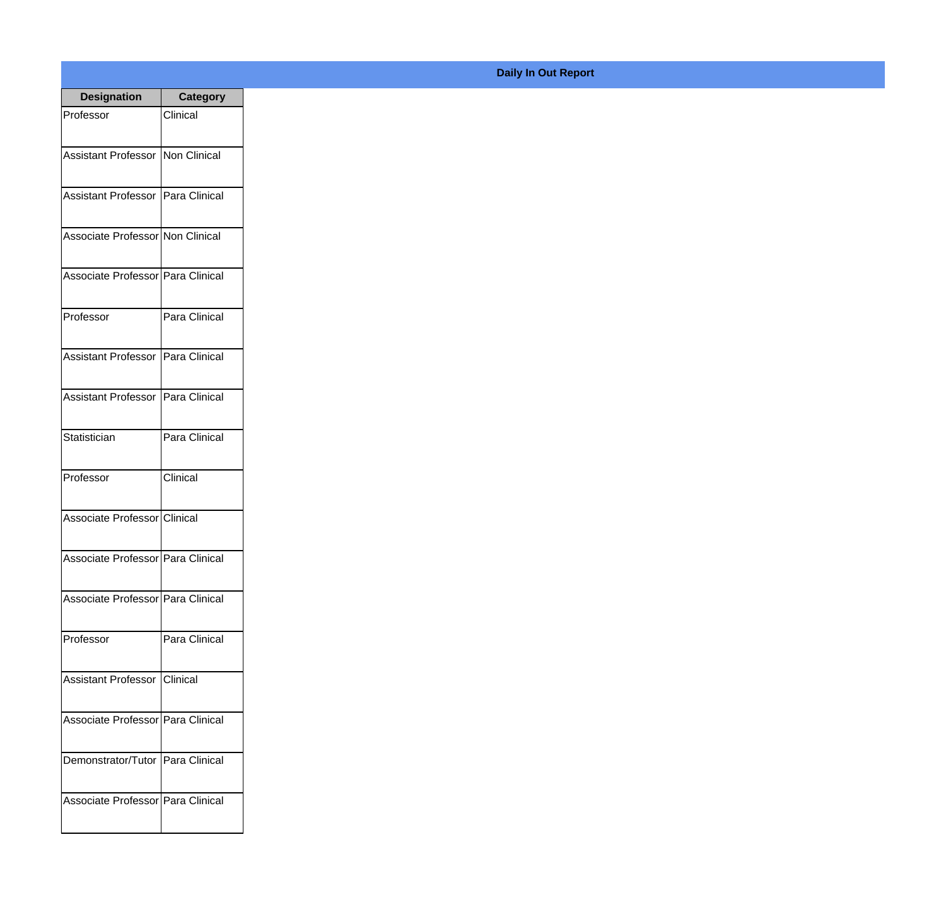| <b>Designation</b>                  | <b>Category</b> |
|-------------------------------------|-----------------|
| Professor                           | Clinical        |
|                                     |                 |
| Assistant Professor Non Clinical    |                 |
| Assistant Professor Para Clinical   |                 |
|                                     |                 |
| Associate Professor Non Clinical    |                 |
| Associate Professor Para Clinical   |                 |
|                                     |                 |
| Professor                           | Para Clinical   |
|                                     |                 |
| Assistant Professor   Para Clinical |                 |
| Assistant Professor   Para Clinical |                 |
|                                     |                 |
| Statistician                        | Para Clinical   |
| Professor                           | Clinical        |
|                                     |                 |
| Associate Professor Clinical        |                 |
|                                     |                 |
| Associate Professor   Para Clinical |                 |
| Associate Professor Para Clinical   |                 |
|                                     |                 |
| Professor                           | Para Clinical   |
| Assistant Professor Clinical        |                 |
|                                     |                 |
| Associate Professor Para Clinical   |                 |
|                                     |                 |
| Demonstrator/Tutor   Para Clinical  |                 |
| Associate Professor Para Clinical   |                 |
|                                     |                 |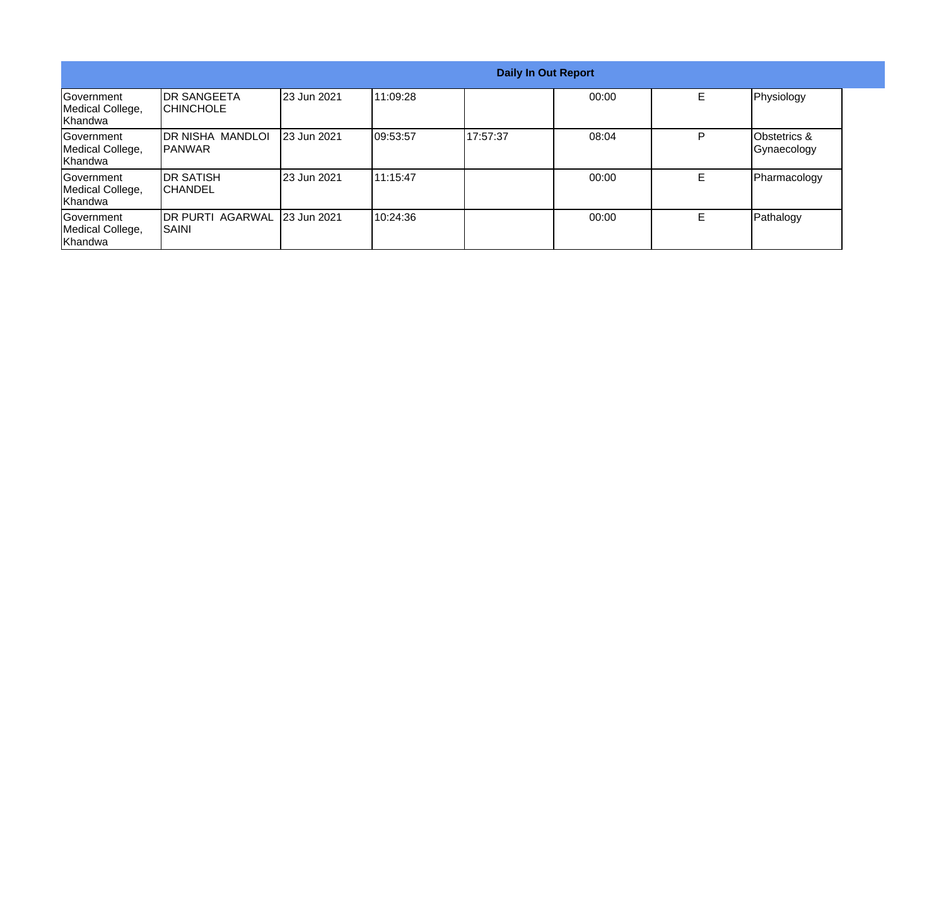| Daily In Out Report                              |                                          |             |           |          |       |   |                                        |
|--------------------------------------------------|------------------------------------------|-------------|-----------|----------|-------|---|----------------------------------------|
| Government<br>Medical College,<br>Khandwa        | <b>IDR SANGEETA</b><br><b>ICHINCHOLE</b> | 23 Jun 2021 | 111:09:28 |          | 00:00 | Е | Physiology                             |
| <b>Sovernment</b><br>Medical College,<br>Khandwa | IDR NISHA MANDLOI<br><b>IPANWAR</b>      | 23 Jun 2021 | 09:53:57  | 17:57:37 | 08:04 | P | <b>Obstetrics &amp;</b><br>Gynaecology |
| Government<br>Medical College,<br>Khandwa        | <b>IDR SATISH</b><br>ICHANDEL            | 23 Jun 2021 | 111:15:47 |          | 00:00 | Е | Pharmacology                           |
| Government<br>Medical College,<br>Khandwa        | <b>DR PURTI AGARWAL</b><br>ISAINI        | 23 Jun 2021 | 10:24:36  |          | 00:00 | Е | Pathalogy                              |